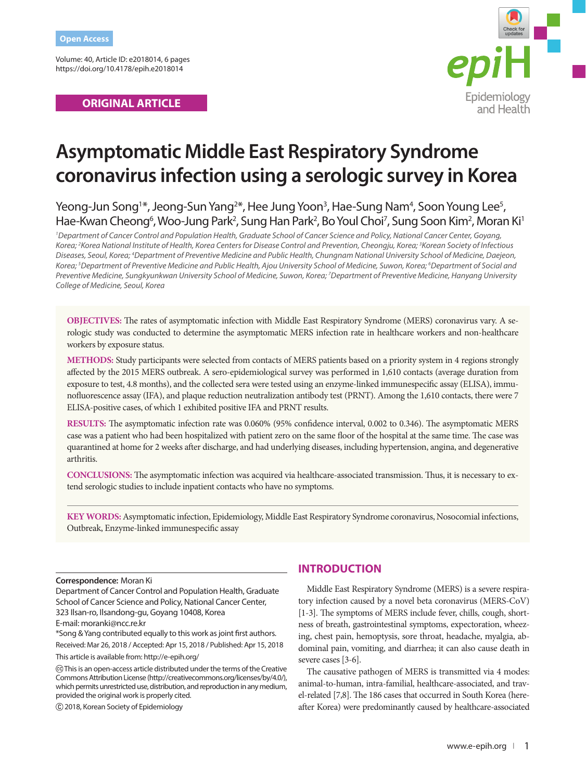Volume: 40, Article ID: e2018014, 6 pages https://doi.org/10.4178/epih.e2018014

## **ORIGINAL ARTICLE**



# **Asymptomatic Middle East Respiratory Syndrome coronavirus infection using a serologic survey in Korea**

Yeong-Jun Song<sup>1\*</sup>, Jeong-Sun Yang<sup>2\*</sup>, Hee Jung Yoon<sup>3</sup>, Hae-Sung Nam<sup>4</sup>, Soon Young Lee<sup>5</sup>, Hae-Kwan Cheong<sup>6</sup>, Woo-Jung Park<sup>2</sup>, Sung Han Park<sup>2</sup>, Bo Youl Choi<sup>7</sup>, Sung Soon Kim<sup>2</sup>, Moran Ki<sup>1</sup>

<sup>1</sup> Department of Cancer Control and Population Health, Graduate School of Cancer Science and Policy, National Cancer Center, Goyang, *Korea; 2 Korea National Institute of Health, Korea Centers for Disease Control and Prevention, Cheongju, Korea; 3 Korean Society of Infectious*  Diseases, Seoul, Korea; <sup>4</sup>Department of Preventive Medicine and Public Health, Chungnam National University School of Medicine, Daejeon, *Korea; 5 Department of Preventive Medicine and Public Health, Ajou University School of Medicine, Suwon, Korea; 6 Department of Social and Preventive Medicine, Sungkyunkwan University School of Medicine, Suwon, Korea; 7 Department of Preventive Medicine, Hanyang University College of Medicine, Seoul, Korea*

**OBJECTIVES:** The rates of asymptomatic infection with Middle East Respiratory Syndrome (MERS) coronavirus vary. A serologic study was conducted to determine the asymptomatic MERS infection rate in healthcare workers and non-healthcare workers by exposure status.

**METHODS:** Study participants were selected from contacts of MERS patients based on a priority system in 4 regions strongly affected by the 2015 MERS outbreak. A sero-epidemiological survey was performed in 1,610 contacts (average duration from exposure to test, 4.8 months), and the collected sera were tested using an enzyme-linked immunespecific assay (ELISA), immunofluorescence assay (IFA), and plaque reduction neutralization antibody test (PRNT). Among the 1,610 contacts, there were 7 ELISA-positive cases, of which 1 exhibited positive IFA and PRNT results.

**RESULTS:** The asymptomatic infection rate was 0.060% (95% confidence interval, 0.002 to 0.346). The asymptomatic MERS case was a patient who had been hospitalized with patient zero on the same floor of the hospital at the same time. The case was quarantined at home for 2 weeks after discharge, and had underlying diseases, including hypertension, angina, and degenerative arthritis.

**CONCLUSIONS:** The asymptomatic infection was acquired via healthcare-associated transmission. Thus, it is necessary to extend serologic studies to include inpatient contacts who have no symptoms.

**KEY WORDS:** Asymptomatic infection, Epidemiology, Middle East Respiratory Syndrome coronavirus, Nosocomial infections, Outbreak, Enzyme-linked immunespecific assay

#### **Correspondence:** Moran Ki

Department of Cancer Control and Population Health, Graduate School of Cancer Science and Policy, National Cancer Center, 323 Ilsan-ro, Ilsandong-gu, Goyang 10408, Korea E-mail: moranki@ncc.re.kr

\*Song & Yang contributed equally to this work as joint first authors. Received: Mar 26, 2018 / Accepted: Apr 15, 2018 / Published: Apr 15, 2018

This article is available from: http://e-epih.org/

 This is an open-access article distributed under the terms of the Creative Commons Attribution License (http://creativecommons.org/licenses/by/4.0/), which permits unrestricted use, distribution, and reproduction in any medium, provided the original work is properly cited.

2018, Korean Society of Epidemiology

## **INTRODUCTION**

Middle East Respiratory Syndrome (MERS) is a severe respiratory infection caused by a novel beta coronavirus (MERS-CoV) [1-3]. The symptoms of MERS include fever, chills, cough, shortness of breath, gastrointestinal symptoms, expectoration, wheezing, chest pain, hemoptysis, sore throat, headache, myalgia, abdominal pain, vomiting, and diarrhea; it can also cause death in severe cases [3-6].

The causative pathogen of MERS is transmitted via 4 modes: animal-to-human, intra-familial, healthcare-associated, and travel-related [7,8]. The 186 cases that occurred in South Korea (hereafter Korea) were predominantly caused by healthcare-associated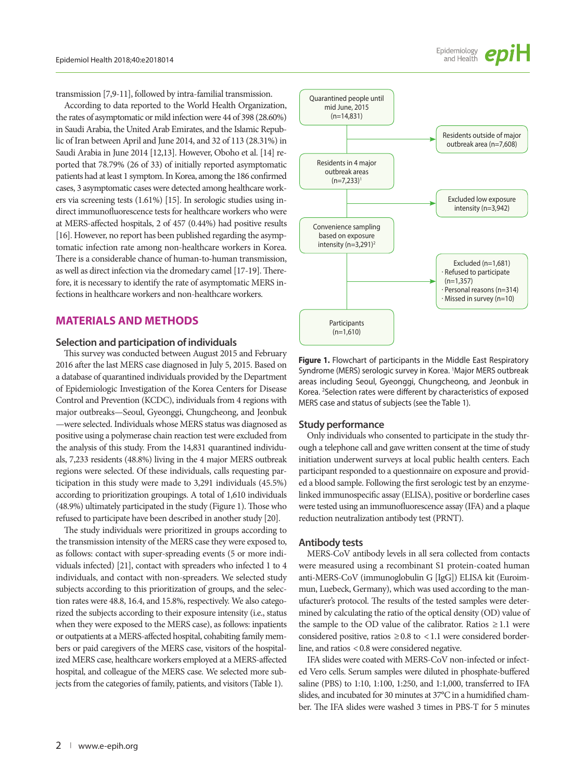transmission [7,9-11], followed by intra-familial transmission.

According to data reported to the World Health Organization, the rates of asymptomatic or mild infection were 44 of 398 (28.60%) in Saudi Arabia, the United Arab Emirates, and the Islamic Republic of Iran between April and June 2014, and 32 of 113 (28.31%) in Saudi Arabia in June 2014 [12,13]. However, Oboho et al. [14] reported that 78.79% (26 of 33) of initially reported asymptomatic patients had at least 1 symptom. In Korea, among the 186 confirmed cases, 3 asymptomatic cases were detected among healthcare workers via screening tests (1.61%) [15]. In serologic studies using indirect immunofluorescence tests for healthcare workers who were at MERS-affected hospitals, 2 of 457 (0.44%) had positive results [16]. However, no report has been published regarding the asymptomatic infection rate among non-healthcare workers in Korea. There is a considerable chance of human-to-human transmission, as well as direct infection via the dromedary camel [17-19]. Therefore, it is necessary to identify the rate of asymptomatic MERS infections in healthcare workers and non-healthcare workers.

## **MATERIALS AND METHODS**

#### **Selection and participation of individuals**

This survey was conducted between August 2015 and February 2016 after the last MERS case diagnosed in July 5, 2015. Based on a database of quarantined individuals provided by the Department of Epidemiologic Investigation of the Korea Centers for Disease Control and Prevention (KCDC), individuals from 4 regions with major outbreaks—Seoul, Gyeonggi, Chungcheong, and Jeonbuk —were selected. Individuals whose MERS status was diagnosed as positive using a polymerase chain reaction test were excluded from the analysis of this study. From the 14,831 quarantined individuals, 7,233 residents (48.8%) living in the 4 major MERS outbreak regions were selected. Of these individuals, calls requesting participation in this study were made to 3,291 individuals (45.5%) according to prioritization groupings. A total of 1,610 individuals (48.9%) ultimately participated in the study (Figure 1). Those who refused to participate have been described in another study [20].

The study individuals were prioritized in groups according to the transmission intensity of the MERS case they were exposed to, as follows: contact with super-spreading events (5 or more individuals infected) [21], contact with spreaders who infected 1 to 4 individuals, and contact with non-spreaders. We selected study subjects according to this prioritization of groups, and the selection rates were 48.8, 16.4, and 15.8%, respectively. We also categorized the subjects according to their exposure intensity (i.e., status when they were exposed to the MERS case), as follows: inpatients or outpatients at a MERS-affected hospital, cohabiting family members or paid caregivers of the MERS case, visitors of the hospitalized MERS case, healthcare workers employed at a MERS-affected hospital, and colleague of the MERS case. We selected more subjects from the categories of family, patients, and visitors (Table 1).



Epidemiology<br>and Health

**Figure 1.** Flowchart of participants in the Middle East Respiratory Syndrome (MERS) serologic survey in Korea. <sup>1</sup> Major MERS outbreak areas including Seoul, Gyeonggi, Chungcheong, and Jeonbuk in Korea. <sup>2</sup> Selection rates were different by characteristics of exposed MERS case and status of subjects (see the Table 1).

#### **Study performance**

Only individuals who consented to participate in the study through a telephone call and gave written consent at the time of study initiation underwent surveys at local public health centers. Each participant responded to a questionnaire on exposure and provided a blood sample. Following the first serologic test by an enzymelinked immunospecific assay (ELISA), positive or borderline cases were tested using an immunofluorescence assay (IFA) and a plaque reduction neutralization antibody test (PRNT).

#### **Antibody tests**

MERS-CoV antibody levels in all sera collected from contacts were measured using a recombinant S1 protein-coated human anti-MERS-CoV (immunoglobulin G [IgG]) ELISA kit (Euroimmun, Luebeck, Germany), which was used according to the manufacturer's protocol. The results of the tested samples were determined by calculating the ratio of the optical density (OD) value of the sample to the OD value of the calibrator. Ratios  $\geq 1.1$  were considered positive, ratios  $\geq 0.8$  to < 1.1 were considered borderline, and ratios < 0.8 were considered negative.

IFA slides were coated with MERS-CoV non-infected or infected Vero cells. Serum samples were diluted in phosphate-buffered saline (PBS) to 1:10, 1:100, 1:250, and 1:1,000, transferred to IFA slides, and incubated for 30 minutes at 37°C in a humidified chamber. The IFA slides were washed 3 times in PBS-T for 5 minutes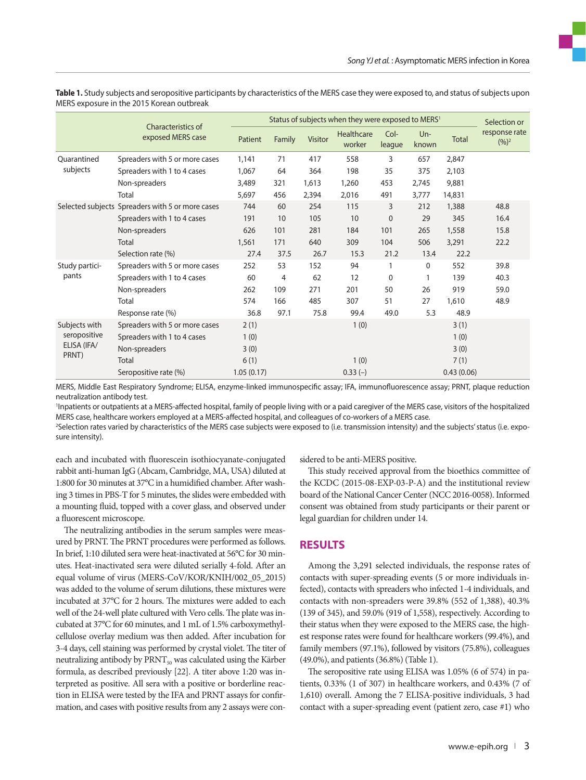|                         |                                                  | Status of subjects when they were exposed to MERS <sup>1</sup> |        |         |                      |                |                |            | Selection or               |
|-------------------------|--------------------------------------------------|----------------------------------------------------------------|--------|---------|----------------------|----------------|----------------|------------|----------------------------|
|                         | Characteristics of<br>exposed MERS case          | Patient                                                        | Family | Visitor | Healthcare<br>worker | Col-<br>league | $Un-$<br>known | Total      | response rate<br>$(9/6)^2$ |
| Quarantined             | Spreaders with 5 or more cases                   | 1,141                                                          | 71     | 417     | 558                  | 3              | 657            | 2,847      |                            |
| subjects                | Spreaders with 1 to 4 cases                      | 1,067                                                          | 64     | 364     | 198                  | 35             | 375            | 2,103      |                            |
|                         | Non-spreaders                                    | 3,489                                                          | 321    | 1,613   | 1,260                | 453            | 2,745          | 9,881      |                            |
|                         | Total                                            | 5,697                                                          | 456    | 2,394   | 2,016                | 491            | 3,777          | 14,831     |                            |
|                         | Selected subjects Spreaders with 5 or more cases | 744                                                            | 60     | 254     | 115                  | 3              | 212            | 1,388      | 48.8                       |
|                         | Spreaders with 1 to 4 cases                      | 191                                                            | 10     | 105     | 10                   | $\mathbf{0}$   | 29             | 345        | 16.4                       |
|                         | Non-spreaders                                    | 626                                                            | 101    | 281     | 184                  | 101            | 265            | 1,558      | 15.8                       |
|                         | Total                                            | 1,561                                                          | 171    | 640     | 309                  | 104            | 506            | 3,291      | 22.2                       |
|                         | Selection rate (%)                               | 27.4                                                           | 37.5   | 26.7    | 15.3                 | 21.2           | 13.4           | 22.2       |                            |
| Study partici-<br>pants | Spreaders with 5 or more cases                   | 252                                                            | 53     | 152     | 94                   |                | $\mathbf 0$    | 552        | 39.8                       |
|                         | Spreaders with 1 to 4 cases                      | 60                                                             | 4      | 62      | 12                   | 0              |                | 139        | 40.3                       |
|                         | Non-spreaders                                    | 262                                                            | 109    | 271     | 201                  | 50             | 26             | 919        | 59.0                       |
|                         | Total                                            | 574                                                            | 166    | 485     | 307                  | 51             | 27             | 1,610      | 48.9                       |
|                         | Response rate (%)                                | 36.8                                                           | 97.1   | 75.8    | 99.4                 | 49.0           | 5.3            | 48.9       |                            |
| Subjects with           | Spreaders with 5 or more cases                   | 2(1)                                                           |        |         | 1(0)                 |                |                | 3(1)       |                            |
| seropositive            | Spreaders with 1 to 4 cases                      | 1(0)                                                           |        |         |                      |                |                | 1(0)       |                            |
| ELISA (IFA/             | Non-spreaders                                    | 3(0)                                                           |        |         |                      |                |                | 3(0)       |                            |
| PRNT)                   | Total                                            | 6(1)                                                           |        |         | 1(0)                 |                |                | 7(1)       |                            |
|                         | Seropositive rate (%)                            | 1.05(0.17)                                                     |        |         | $0.33(-)$            |                |                | 0.43(0.06) |                            |

**Table 1.** Study subjects and seropositive participants by characteristics of the MERS case they were exposed to, and status of subjects upon MERS exposure in the 2015 Korean outbreak

MERS, Middle East Respiratory Syndrome; ELISA, enzyme-linked immunospecific assay; IFA, immunofluorescence assay; PRNT, plaque reduction neutralization antibody test.

1 Inpatients or outpatients at a MERS-affected hospital, family of people living with or a paid caregiver of the MERS case, visitors of the hospitalized MERS case, healthcare workers employed at a MERS-affected hospital, and colleagues of co-workers of a MERS case.

2 Selection rates varied by characteristics of the MERS case subjects were exposed to (i.e. transmission intensity) and the subjects' status (i.e. exposure intensity).

each and incubated with fluorescein isothiocyanate-conjugated rabbit anti-human IgG (Abcam, Cambridge, MA, USA) diluted at 1:800 for 30 minutes at 37°C in a humidified chamber. After washing 3 times in PBS-T for 5 minutes, the slides were embedded with a mounting fluid, topped with a cover glass, and observed under a fluorescent microscope.

The neutralizing antibodies in the serum samples were measured by PRNT. The PRNT procedures were performed as follows. In brief, 1:10 diluted sera were heat-inactivated at 56°C for 30 minutes. Heat-inactivated sera were diluted serially 4-fold. After an equal volume of virus (MERS-CoV/KOR/KNIH/002\_05\_2015) was added to the volume of serum dilutions, these mixtures were incubated at 37°C for 2 hours. The mixtures were added to each well of the 24-well plate cultured with Vero cells. The plate was incubated at 37°C for 60 minutes, and 1 mL of 1.5% carboxymethylcellulose overlay medium was then added. After incubation for 3-4 days, cell staining was performed by crystal violet. The titer of neutralizing antibody by PRNT<sub>50</sub> was calculated using the Kärber formula, as described previously [22]. A titer above 1:20 was interpreted as positive. All sera with a positive or borderline reaction in ELISA were tested by the IFA and PRNT assays for confirmation, and cases with positive results from any 2 assays were considered to be anti-MERS positive.

This study received approval from the bioethics committee of the KCDC (2015-08-EXP-03-P-A) and the institutional review board of the National Cancer Center (NCC 2016-0058). Informed consent was obtained from study participants or their parent or legal guardian for children under 14.

### **RESULTS**

Among the 3,291 selected individuals, the response rates of contacts with super-spreading events (5 or more individuals infected), contacts with spreaders who infected 1-4 individuals, and contacts with non-spreaders were 39.8% (552 of 1,388), 40.3% (139 of 345), and 59.0% (919 of 1,558), respectively. According to their status when they were exposed to the MERS case, the highest response rates were found for healthcare workers (99.4%), and family members (97.1%), followed by visitors (75.8%), colleagues (49.0%), and patients (36.8%) (Table 1).

The seropositive rate using ELISA was 1.05% (6 of 574) in patients, 0.33% (1 of 307) in healthcare workers, and 0.43% (7 of 1,610) overall. Among the 7 ELISA-positive individuals, 3 had contact with a super-spreading event (patient zero, case #1) who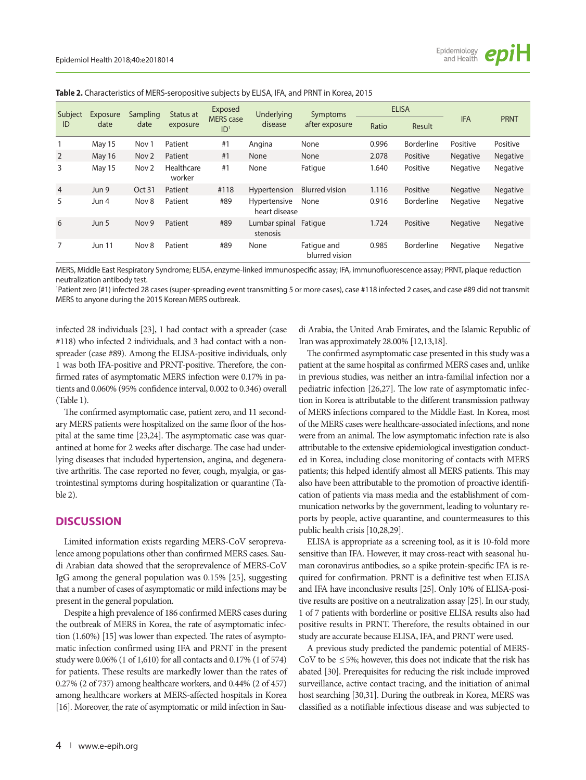|  |  |  |  | <b>Table 2.</b> Characteristics of MERS-seropositive subjects by ELISA, IFA, and PRNT in Korea, 2015 |  |  |  |  |  |  |  |
|--|--|--|--|------------------------------------------------------------------------------------------------------|--|--|--|--|--|--|--|
|--|--|--|--|------------------------------------------------------------------------------------------------------|--|--|--|--|--|--|--|

| Subject<br>ID  | Exposure<br>date | Sampling<br>date | Status at<br>exposure | Exposed<br><b>MERS</b> case<br>ID <sup>1</sup> | Underlying<br>disease         | Symptoms<br>after exposure    | <b>ELISA</b> |                   |                 |                 |
|----------------|------------------|------------------|-----------------------|------------------------------------------------|-------------------------------|-------------------------------|--------------|-------------------|-----------------|-----------------|
|                |                  |                  |                       |                                                |                               |                               | Ratio        | Result            | <b>IFA</b>      | <b>PRNT</b>     |
|                | May 15           | Nov 1            | Patient               | #1                                             | Angina                        | None                          | 0.996        | <b>Borderline</b> | Positive        | Positive        |
| 2              | <b>May 16</b>    | Nov <sub>2</sub> | Patient               | #1                                             | None                          | None                          | 2.078        | Positive          | <b>Negative</b> | <b>Negative</b> |
| 3              | May 15           | Nov <sub>2</sub> | Healthcare<br>worker  | #1                                             | None                          | Fatigue                       | 1.640        | Positive          | Negative        | Negative        |
| $\overline{4}$ | Jun 9            | Oct 31           | Patient               | #118                                           | Hypertension                  | <b>Blurred vision</b>         | 1.116        | Positive          | <b>Negative</b> | Negative        |
| 5              | Jun 4            | Nov 8            | Patient               | #89                                            | Hypertensive<br>heart disease | None                          | 0.916        | Borderline        | Negative        | Negative        |
| 6              | Jun 5            | Nov <sub>9</sub> | Patient               | #89                                            | Lumbar spinal<br>stenosis     | Fatigue                       | 1.724        | Positive          | <b>Negative</b> | <b>Negative</b> |
| 7              | <b>Jun 11</b>    | Nov 8            | Patient               | #89                                            | None                          | Fatique and<br>blurred vision | 0.985        | Borderline        | <b>Negative</b> | <b>Negative</b> |

MERS, Middle East Respiratory Syndrome; ELISA, enzyme-linked immunospecific assay; IFA, immunofluorescence assay; PRNT, plaque reduction neutralization antibody test.

1 Patient zero (#1) infected 28 cases (super-spreading event transmitting 5 or more cases), case #118 infected 2 cases, and case #89 did not transmit MERS to anyone during the 2015 Korean MERS outbreak.

infected 28 individuals [23], 1 had contact with a spreader (case #118) who infected 2 individuals, and 3 had contact with a nonspreader (case #89). Among the ELISA-positive individuals, only 1 was both IFA-positive and PRNT-positive. Therefore, the confirmed rates of asymptomatic MERS infection were 0.17% in patients and 0.060% (95% confidence interval, 0.002 to 0.346) overall (Table 1).

The confirmed asymptomatic case, patient zero, and 11 secondary MERS patients were hospitalized on the same floor of the hospital at the same time [23,24]. The asymptomatic case was quarantined at home for 2 weeks after discharge. The case had underlying diseases that included hypertension, angina, and degenerative arthritis. The case reported no fever, cough, myalgia, or gastrointestinal symptoms during hospitalization or quarantine (Table 2).

## **DISCUSSION**

Limited information exists regarding MERS-CoV seroprevalence among populations other than confirmed MERS cases. Saudi Arabian data showed that the seroprevalence of MERS-CoV IgG among the general population was 0.15% [25], suggesting that a number of cases of asymptomatic or mild infections may be present in the general population.

Despite a high prevalence of 186 confirmed MERS cases during the outbreak of MERS in Korea, the rate of asymptomatic infection (1.60%) [15] was lower than expected. The rates of asymptomatic infection confirmed using IFA and PRNT in the present study were 0.06% (1 of 1,610) for all contacts and 0.17% (1 of 574) for patients. These results are markedly lower than the rates of 0.27% (2 of 737) among healthcare workers, and 0.44% (2 of 457) among healthcare workers at MERS-affected hospitals in Korea [16]. Moreover, the rate of asymptomatic or mild infection in Saudi Arabia, the United Arab Emirates, and the Islamic Republic of Iran was approximately 28.00% [12,13,18].

The confirmed asymptomatic case presented in this study was a patient at the same hospital as confirmed MERS cases and, unlike in previous studies, was neither an intra-familial infection nor a pediatric infection [26,27]. The low rate of asymptomatic infection in Korea is attributable to the different transmission pathway of MERS infections compared to the Middle East. In Korea, most of the MERS cases were healthcare-associated infections, and none were from an animal. The low asymptomatic infection rate is also attributable to the extensive epidemiological investigation conducted in Korea, including close monitoring of contacts with MERS patients; this helped identify almost all MERS patients. This may also have been attributable to the promotion of proactive identification of patients via mass media and the establishment of communication networks by the government, leading to voluntary reports by people, active quarantine, and countermeasures to this public health crisis [10,28,29].

ELISA is appropriate as a screening tool, as it is 10-fold more sensitive than IFA. However, it may cross-react with seasonal human coronavirus antibodies, so a spike protein-specific IFA is required for confirmation. PRNT is a definitive test when ELISA and IFA have inconclusive results [25]. Only 10% of ELISA-positive results are positive on a neutralization assay [25]. In our study, 1 of 7 patients with borderline or positive ELISA results also had positive results in PRNT. Therefore, the results obtained in our study are accurate because ELISA, IFA, and PRNT were used.

A previous study predicted the pandemic potential of MERS-CoV to be  $\leq$  5%; however, this does not indicate that the risk has abated [30]. Prerequisites for reducing the risk include improved surveillance, active contact tracing, and the initiation of animal host searching [30,31]. During the outbreak in Korea, MERS was classified as a notifiable infectious disease and was subjected to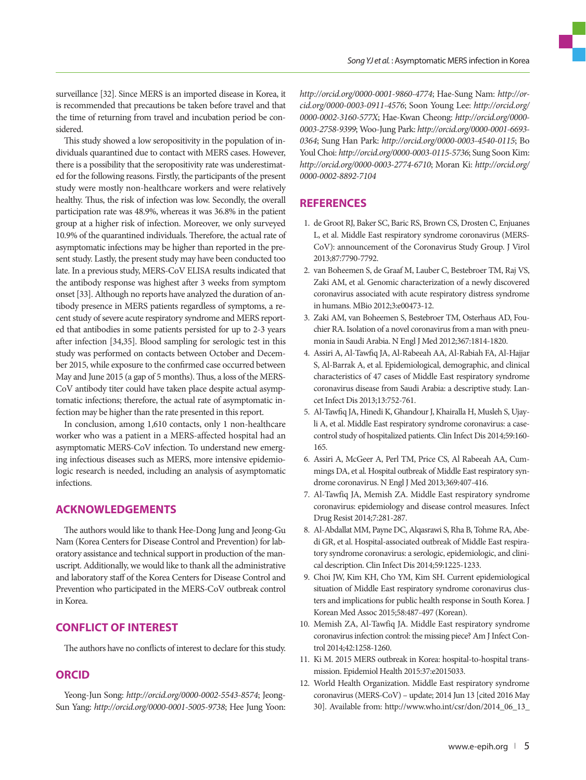surveillance [32]. Since MERS is an imported disease in Korea, it is recommended that precautions be taken before travel and that the time of returning from travel and incubation period be considered.

This study showed a low seropositivity in the population of individuals quarantined due to contact with MERS cases. However, there is a possibility that the seropositivity rate was underestimated for the following reasons. Firstly, the participants of the present study were mostly non-healthcare workers and were relatively healthy. Thus, the risk of infection was low. Secondly, the overall participation rate was 48.9%, whereas it was 36.8% in the patient group at a higher risk of infection. Moreover, we only surveyed 10.9% of the quarantined individuals. Therefore, the actual rate of asymptomatic infections may be higher than reported in the present study. Lastly, the present study may have been conducted too late. In a previous study, MERS-CoV ELISA results indicated that the antibody response was highest after 3 weeks from symptom onset [33]. Although no reports have analyzed the duration of antibody presence in MERS patients regardless of symptoms, a recent study of severe acute respiratory syndrome and MERS reported that antibodies in some patients persisted for up to 2-3 years after infection [34,35]. Blood sampling for serologic test in this study was performed on contacts between October and December 2015, while exposure to the confirmed case occurred between May and June 2015 (a gap of 5 months). Thus, a loss of the MERS-CoV antibody titer could have taken place despite actual asymptomatic infections; therefore, the actual rate of asymptomatic infection may be higher than the rate presented in this report.

In conclusion, among 1,610 contacts, only 1 non-healthcare worker who was a patient in a MERS-affected hospital had an asymptomatic MERS-CoV infection. To understand new emerging infectious diseases such as MERS, more intensive epidemiologic research is needed, including an analysis of asymptomatic infections.

## **ACKNOWLEDGEMENTS**

The authors would like to thank Hee-Dong Jung and Jeong-Gu Nam (Korea Centers for Disease Control and Prevention) for laboratory assistance and technical support in production of the manuscript. Additionally, we would like to thank all the administrative and laboratory staff of the Korea Centers for Disease Control and Prevention who participated in the MERS-CoV outbreak control in Korea.

## **CONFLICT OF INTEREST**

The authors have no conflicts of interest to declare for this study.

## **ORCID**

Yeong-Jun Song: *http://orcid.org/0000-0002-5543-8574*; Jeong-Sun Yang: *http://orcid.org/0000-0001-5005-9738*; Hee Jung Yoon: *http://orcid.org/0000-0001-9860-4774*; Hae-Sung Nam: *http://orcid.org/0000-0003-0911-4576*; Soon Young Lee: *http://orcid.org/ 0000-0002-3160-577X*; Hae-Kwan Cheong: *http://orcid.org/0000- 0003-2758-9399*; Woo-Jung Park: *http://orcid.org/0000-0001-6693- 0364*; Sung Han Park: *http://orcid.org/0000-0003-4540-0115*; Bo Youl Choi: *http://orcid.org/0000-0003-0115-5736*; Sung Soon Kim: *http://orcid.org/0000-0003-2774-6710*; Moran Ki: *http://orcid.org/ 0000-0002-8892-7104* 

## **REFERENCES**

- 1. de Groot RJ, Baker SC, Baric RS, Brown CS, Drosten C, Enjuanes L, et al. Middle East respiratory syndrome coronavirus (MERS-CoV): announcement of the Coronavirus Study Group. J Virol 2013;87:7790-7792.
- 2. van Boheemen S, de Graaf M, Lauber C, Bestebroer TM, Raj VS, Zaki AM, et al. Genomic characterization of a newly discovered coronavirus associated with acute respiratory distress syndrome in humans. MBio 2012;3:e00473-12.
- 3. Zaki AM, van Boheemen S, Bestebroer TM, Osterhaus AD, Fouchier RA. Isolation of a novel coronavirus from a man with pneumonia in Saudi Arabia. N Engl J Med 2012;367:1814-1820.
- 4. Assiri A, Al-Tawfiq JA, Al-Rabeeah AA, Al-Rabiah FA, Al-Hajjar S, Al-Barrak A, et al. Epidemiological, demographic, and clinical characteristics of 47 cases of Middle East respiratory syndrome coronavirus disease from Saudi Arabia: a descriptive study. Lancet Infect Dis 2013;13:752-761.
- 5. Al-Tawfiq JA, Hinedi K, Ghandour J, Khairalla H, Musleh S, Ujayli A, et al. Middle East respiratory syndrome coronavirus: a casecontrol study of hospitalized patients. Clin Infect Dis 2014;59:160- 165.
- 6. Assiri A, McGeer A, Perl TM, Price CS, Al Rabeeah AA, Cummings DA, et al. Hospital outbreak of Middle East respiratory syndrome coronavirus. N Engl J Med 2013;369:407-416.
- 7. Al-Tawfiq JA, Memish ZA. Middle East respiratory syndrome coronavirus: epidemiology and disease control measures. Infect Drug Resist 2014;7:281-287.
- 8. Al-Abdallat MM, Payne DC, Alqasrawi S, Rha B, Tohme RA, Abedi GR, et al. Hospital-associated outbreak of Middle East respiratory syndrome coronavirus: a serologic, epidemiologic, and clinical description. Clin Infect Dis 2014;59:1225-1233.
- 9. Choi JW, Kim KH, Cho YM, Kim SH. Current epidemiological situation of Middle East respiratory syndrome coronavirus clusters and implications for public health response in South Korea. J Korean Med Assoc 2015;58:487-497 (Korean).
- 10. Memish ZA, Al-Tawfiq JA. Middle East respiratory syndrome coronavirus infection control: the missing piece? Am J Infect Control 2014;42:1258-1260.
- 11. Ki M. 2015 MERS outbreak in Korea: hospital-to-hospital transmission. Epidemiol Health 2015:37:e2015033.
- 12. World Health Organization. Middle East respiratory syndrome coronavirus (MERS-CoV) – update; 2014 Jun 13 [cited 2016 May 30]. Available from: http://www.who.int/csr/don/2014\_06\_13\_